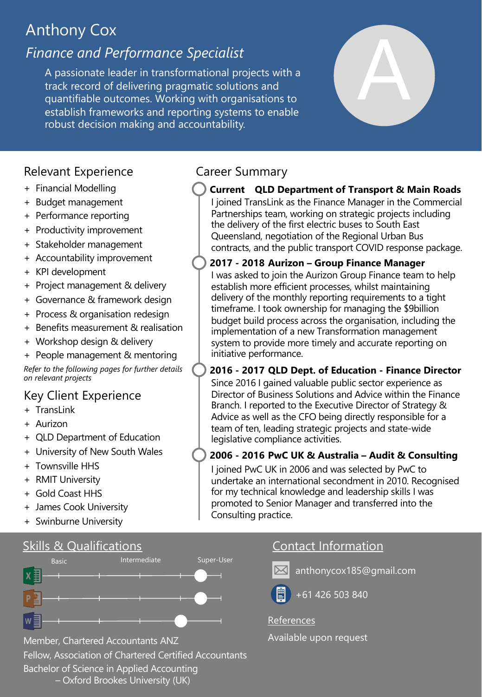# Anthony Cox

# *Finance and Performance Specialist*

A passionate leader in transformational projects with a track record of delivering pragmatic solutions and quantifiable outcomes. Working with organisations to establish frameworks and reporting systems to enable robust decision making and accountability.

# Relevant Experience **Caream** Career Summary

- + Financial Modelling
- + Budget management
- + Performance reporting
- + Productivity improvement
- + Stakeholder management
- + Accountability improvement
- + KPI development
- + Project management & delivery
- + Governance & framework design
- + Process & organisation redesign
- + Benefits measurement & realisation
- + Workshop design & delivery
- + People management & mentoring

*Refer to the following pages for further details on relevant projects*

# Key Client Experience

- + TransLink
- + Aurizon
- + QLD Department of Education
- + University of New South Wales
- + Townsville HHS
- + RMIT University
- + Gold Coast HHS
- + James Cook University
- + Swinburne University

# Skills & Qualifications Contact Information



Member, Chartered Accountants ANZ Available upon request

Fellow, Association of Chartered Certified Accountants Bachelor of Science in Applied Accounting

– Oxford Brookes University (UK)

**Current QLD Department of Transport & Main Roads** I joined TransLink as the Finance Manager in the Commercial

A

Partnerships team, working on strategic projects including the delivery of the first electric buses to South East Queensland, negotiation of the Regional Urban Bus contracts, and the public transport COVID response package.

I was asked to join the Aurizon Group Finance team to help establish more efficient processes, whilst maintaining delivery of the monthly reporting requirements to a tight timeframe. I took ownership for managing the \$9billion budget build process across the organisation, including the implementation of a new Transformation management system to provide more timely and accurate reporting on initiative performance. **2017 - 2018 Aurizon – Group Finance Manager**

**2016 - 2017 QLD Dept. of Education - Finance Director** Since 2016 I gained valuable public sector experience as Director of Business Solutions and Advice within the Finance Branch. I reported to the Executive Director of Strategy & Advice as well as the CFO being directly responsible for a team of ten, leading strategic projects and state-wide legislative compliance activities.

## **2006 - 2016 PwC UK & Australia – Audit & Consulting**

I joined PwC UK in 2006 and was selected by PwC to undertake an international secondment in 2010. Recognised for my technical knowledge and leadership skills I was promoted to Senior Manager and transferred into the Consulting practice.



anthonycox185@gmail.com



+61 426 503 840

#### References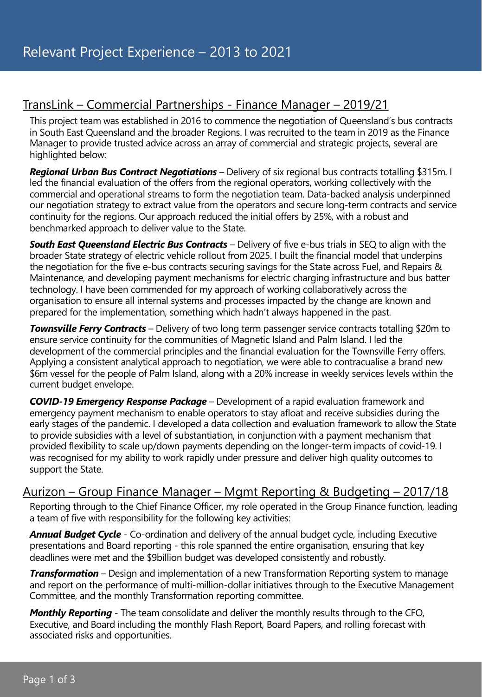# TransLink – Commercial Partnerships - Finance Manager – 2019/21

This project team was established in 2016 to commence the negotiation of Queensland's bus contracts in South East Queensland and the broader Regions. I was recruited to the team in 2019 as the Finance Manager to provide trusted advice across an array of commercial and strategic projects, several are highlighted below:

*Regional Urban Bus Contract Negotiations* – Delivery of six regional bus contracts totalling \$315m. I led the financial evaluation of the offers from the regional operators, working collectively with the commercial and operational streams to form the negotiation team. Data-backed analysis underpinned our negotiation strategy to extract value from the operators and secure long-term contracts and service continuity for the regions. Our approach reduced the initial offers by 25%, with a robust and benchmarked approach to deliver value to the State.

*South East Queensland Electric Bus Contracts* – Delivery of five e-bus trials in SEQ to align with the broader State strategy of electric vehicle rollout from 2025. I built the financial model that underpins the negotiation for the five e-bus contracts securing savings for the State across Fuel, and Repairs & Maintenance, and developing payment mechanisms for electric charging infrastructure and bus batter technology. I have been commended for my approach of working collaboratively across the organisation to ensure all internal systems and processes impacted by the change are known and prepared for the implementation, something which hadn't always happened in the past.

*Townsville Ferry Contracts* – Delivery of two long term passenger service contracts totalling \$20m to ensure service continuity for the communities of Magnetic Island and Palm Island. I led the development of the commercial principles and the financial evaluation for the Townsville Ferry offers. Applying a consistent analytical approach to negotiation, we were able to contracualise a brand new \$6m vessel for the people of Palm Island, along with a 20% increase in weekly services levels within the current budget envelope.

*COVID-19 Emergency Response Package* – Development of a rapid evaluation framework and emergency payment mechanism to enable operators to stay afloat and receive subsidies during the early stages of the pandemic. I developed a data collection and evaluation framework to allow the State to provide subsidies with a level of substantiation, in conjunction with a payment mechanism that provided flexibility to scale up/down payments depending on the longer-term impacts of covid-19. I was recognised for my ability to work rapidly under pressure and deliver high quality outcomes to support the State.

#### Aurizon – Group Finance Manager – Mgmt Reporting & Budgeting – 2017/18

Reporting through to the Chief Finance Officer, my role operated in the Group Finance function, leading a team of five with responsibility for the following key activities:

**Annual Budget Cycle** - Co-ordination and delivery of the annual budget cycle, including Executive presentations and Board reporting - this role spanned the entire organisation, ensuring that key deadlines were met and the \$9billion budget was developed consistently and robustly.

*Transformation* – Design and implementation of a new Transformation Reporting system to manage and report on the performance of multi-million-dollar initiatives through to the Executive Management Committee, and the monthly Transformation reporting committee.

*Monthly Reporting* - The team consolidate and deliver the monthly results through to the CFO, Executive, and Board including the monthly Flash Report, Board Papers, and rolling forecast with associated risks and opportunities.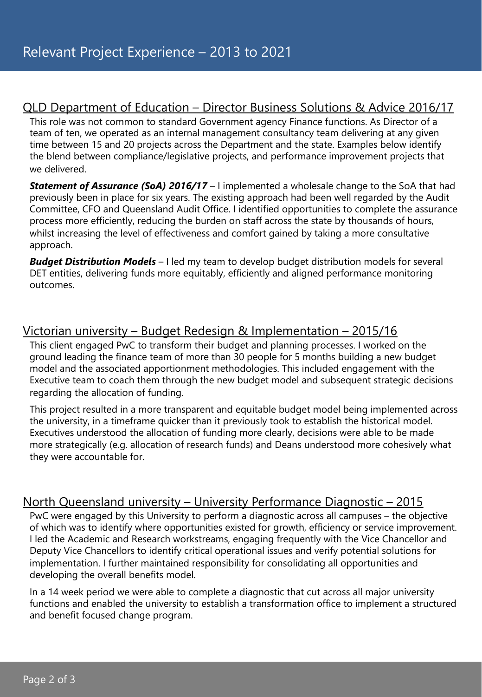## QLD Department of Education – Director Business Solutions & Advice 2016/17

This role was not common to standard Government agency Finance functions. As Director of a team of ten, we operated as an internal management consultancy team delivering at any given time between 15 and 20 projects across the Department and the state. Examples below identify the blend between compliance/legislative projects, and performance improvement projects that we delivered.

*Statement of Assurance (SoA) 2016/17* – I implemented a wholesale change to the SoA that had previously been in place for six years. The existing approach had been well regarded by the Audit Committee, CFO and Queensland Audit Office. I identified opportunities to complete the assurance process more efficiently, reducing the burden on staff across the state by thousands of hours, whilst increasing the level of effectiveness and comfort gained by taking a more consultative approach.

**Budget Distribution Models** – I led my team to develop budget distribution models for several DET entities, delivering funds more equitably, efficiently and aligned performance monitoring outcomes.

## Victorian university – Budget Redesign & Implementation – 2015/16

This client engaged PwC to transform their budget and planning processes. I worked on the ground leading the finance team of more than 30 people for 5 months building a new budget model and the associated apportionment methodologies. This included engagement with the Executive team to coach them through the new budget model and subsequent strategic decisions regarding the allocation of funding.

This project resulted in a more transparent and equitable budget model being implemented across the university, in a timeframe quicker than it previously took to establish the historical model. Executives understood the allocation of funding more clearly, decisions were able to be made more strategically (e.g. allocation of research funds) and Deans understood more cohesively what they were accountable for.

### North Queensland university – University Performance Diagnostic – 2015

PwC were engaged by this University to perform a diagnostic across all campuses – the objective of which was to identify where opportunities existed for growth, efficiency or service improvement. I led the Academic and Research workstreams, engaging frequently with the Vice Chancellor and Deputy Vice Chancellors to identify critical operational issues and verify potential solutions for implementation. I further maintained responsibility for consolidating all opportunities and developing the overall benefits model.

In a 14 week period we were able to complete a diagnostic that cut across all major university functions and enabled the university to establish a transformation office to implement a structured and benefit focused change program.